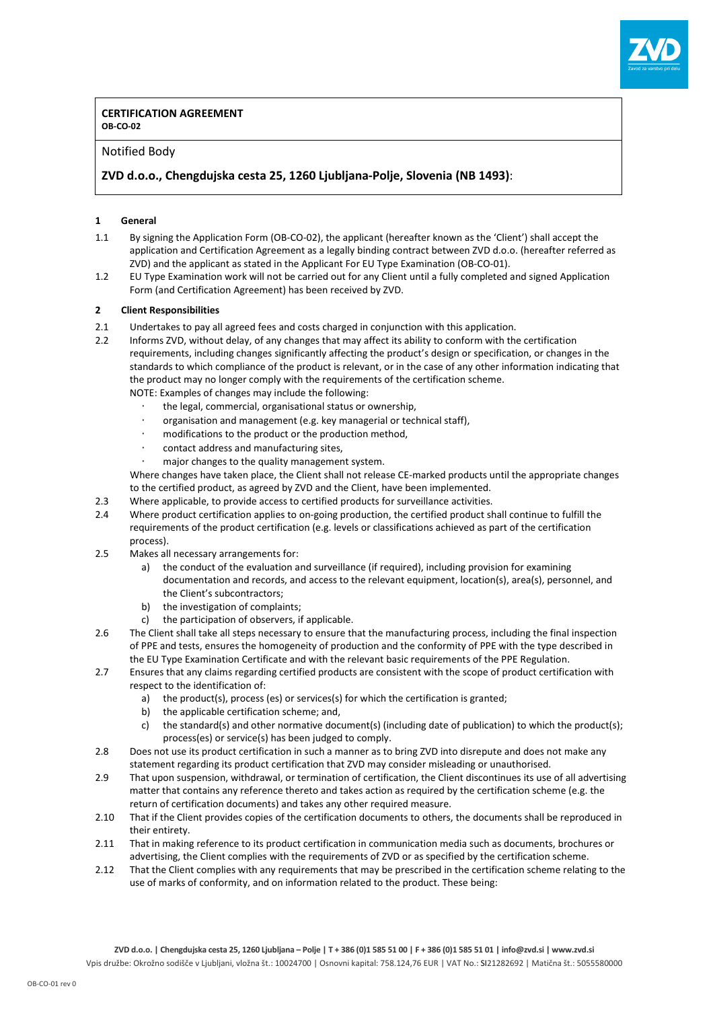

#### **CERTIFICATION AGREEMENT OB-CO-02**

### Notified Body

# **ZVD d.o.o., Chengdujska cesta 25, 1260 Ljubljana-Polje, Slovenia (NB 1493)**:

#### **1 General**

- 1.1 By signing the Application Form (OB-CO-02), the applicant (hereafter known as the 'Client') shall accept the application and Certification Agreement as a legally binding contract between ZVD d.o.o. (hereafter referred as ZVD) and the applicant as stated in the Applicant For EU Type Examination (OB-CO-01).
- 1.2 EU Type Examination work will not be carried out for any Client until a fully completed and signed Application Form (and Certification Agreement) has been received by ZVD.

#### **2 Client Responsibilities**

- 2.1 Undertakes to pay all agreed fees and costs charged in conjunction with this application.
- 2.2 Informs ZVD, without delay, of any changes that may affect its ability to conform with the certification requirements, including changes significantly affecting the product's design or specification, or changes in the standards to which compliance of the product is relevant, or in the case of any other information indicating that the product may no longer comply with the requirements of the certification scheme. NOTE: Examples of changes may include the following:
	- the legal, commercial, organisational status or ownership,
	- ⋅ organisation and management (e.g. key managerial or technical staff),
	- modifications to the product or the production method,
	- ⋅ contact address and manufacturing sites,
	- major changes to the quality management system.

Where changes have taken place, the Client shall not release CE-marked products until the appropriate changes to the certified product, as agreed by ZVD and the Client, have been implemented.

- 2.3 Where applicable, to provide access to certified products for surveillance activities.
- 2.4 Where product certification applies to on-going production, the certified product shall continue to fulfill the requirements of the product certification (e.g. levels or classifications achieved as part of the certification process).
- 2.5 Makes all necessary arrangements for:
	- a) the conduct of the evaluation and surveillance (if required), including provision for examining documentation and records, and access to the relevant equipment, location(s), area(s), personnel, and the Client's subcontractors;
	- b) the investigation of complaints;
	- c) the participation of observers, if applicable.
- 2.6 The Client shall take all steps necessary to ensure that the manufacturing process, including the final inspection of PPE and tests, ensures the homogeneity of production and the conformity of PPE with the type described in the EU Type Examination Certificate and with the relevant basic requirements of the PPE Regulation.
- 2.7 Ensures that any claims regarding certified products are consistent with the scope of product certification with respect to the identification of:
	- a) the product(s), process (es) or services(s) for which the certification is granted;
	- b) the applicable certification scheme; and,
	- c) the standard(s) and other normative document(s) (including date of publication) to which the product(s); process(es) or service(s) has been judged to comply.
- 2.8 Does not use its product certification in such a manner as to bring ZVD into disrepute and does not make any statement regarding its product certification that ZVD may consider misleading or unauthorised.
- 2.9 That upon suspension, withdrawal, or termination of certification, the Client discontinues its use of all advertising matter that contains any reference thereto and takes action as required by the certification scheme (e.g. the return of certification documents) and takes any other required measure.
- 2.10 That if the Client provides copies of the certification documents to others, the documents shall be reproduced in their entirety.
- 2.11 That in making reference to its product certification in communication media such as documents, brochures or advertising, the Client complies with the requirements of ZVD or as specified by the certification scheme.
- 2.12 That the Client complies with any requirements that may be prescribed in the certification scheme relating to the use of marks of conformity, and on information related to the product. These being: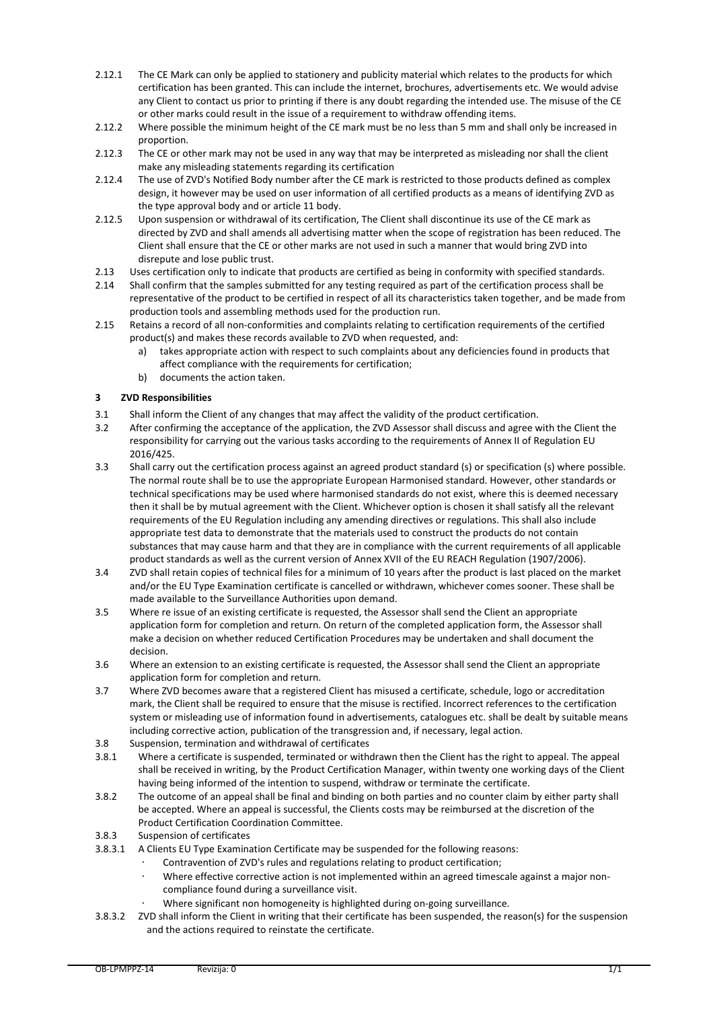- 2.12.1 The CE Mark can only be applied to stationery and publicity material which relates to the products for which certification has been granted. This can include the internet, brochures, advertisements etc. We would advise any Client to contact us prior to printing if there is any doubt regarding the intended use. The misuse of the CE or other marks could result in the issue of a requirement to withdraw offending items.
- 2.12.2 Where possible the minimum height of the CE mark must be no less than 5 mm and shall only be increased in proportion.
- 2.12.3 The CE or other mark may not be used in any way that may be interpreted as misleading nor shall the client make any misleading statements regarding its certification
- 2.12.4 The use of ZVD's Notified Body number after the CE mark is restricted to those products defined as complex design, it however may be used on user information of all certified products as a means of identifying ZVD as the type approval body and or article 11 body.
- 2.12.5 Upon suspension or withdrawal of its certification, The Client shall discontinue its use of the CE mark as directed by ZVD and shall amends all advertising matter when the scope of registration has been reduced. The Client shall ensure that the CE or other marks are not used in such a manner that would bring ZVD into disrepute and lose public trust.
- 2.13 Uses certification only to indicate that products are certified as being in conformity with specified standards.
- 2.14 Shall confirm that the samples submitted for any testing required as part of the certification process shall be representative of the product to be certified in respect of all its characteristics taken together, and be made from production tools and assembling methods used for the production run.
- 2.15 Retains a record of all non-conformities and complaints relating to certification requirements of the certified product(s) and makes these records available to ZVD when requested, and:
	- a) takes appropriate action with respect to such complaints about any deficiencies found in products that affect compliance with the requirements for certification;
	- b) documents the action taken.

### **3 ZVD Responsibilities**

- 3.1 Shall inform the Client of any changes that may affect the validity of the product certification.
- 3.2 After confirming the acceptance of the application, the ZVD Assessor shall discuss and agree with the Client the responsibility for carrying out the various tasks according to the requirements of Annex II of Regulation EU 2016/425.
- 3.3 Shall carry out the certification process against an agreed product standard (s) or specification (s) where possible. The normal route shall be to use the appropriate European Harmonised standard. However, other standards or technical specifications may be used where harmonised standards do not exist, where this is deemed necessary then it shall be by mutual agreement with the Client. Whichever option is chosen it shall satisfy all the relevant requirements of the EU Regulation including any amending directives or regulations. This shall also include appropriate test data to demonstrate that the materials used to construct the products do not contain substances that may cause harm and that they are in compliance with the current requirements of all applicable product standards as well as the current version of Annex XVII of the EU REACH Regulation (1907/2006).
- 3.4 ZVD shall retain copies of technical files for a minimum of 10 years after the product is last placed on the market and/or the EU Type Examination certificate is cancelled or withdrawn, whichever comes sooner. These shall be made available to the Surveillance Authorities upon demand.
- 3.5 Where re issue of an existing certificate is requested, the Assessor shall send the Client an appropriate application form for completion and return. On return of the completed application form, the Assessor shall make a decision on whether reduced Certification Procedures may be undertaken and shall document the decision.
- 3.6 Where an extension to an existing certificate is requested, the Assessor shall send the Client an appropriate application form for completion and return.
- 3.7 Where ZVD becomes aware that a registered Client has misused a certificate, schedule, logo or accreditation mark, the Client shall be required to ensure that the misuse is rectified. Incorrect references to the certification system or misleading use of information found in advertisements, catalogues etc. shall be dealt by suitable means including corrective action, publication of the transgression and, if necessary, legal action.
- 3.8 Suspension, termination and withdrawal of certificates
- 3.8.1 Where a certificate is suspended, terminated or withdrawn then the Client has the right to appeal. The appeal shall be received in writing, by the Product Certification Manager, within twenty one working days of the Client having being informed of the intention to suspend, withdraw or terminate the certificate.
- 3.8.2 The outcome of an appeal shall be final and binding on both parties and no counter claim by either party shall be accepted. Where an appeal is successful, the Clients costs may be reimbursed at the discretion of the Product Certification Coordination Committee.
- 3.8.3 Suspension of certificates
- 3.8.3.1 A Clients EU Type Examination Certificate may be suspended for the following reasons:
	- Contravention of ZVD's rules and regulations relating to product certification;
		- ⋅ Where effective corrective action is not implemented within an agreed timescale against a major noncompliance found during a surveillance visit.
	- Where significant non homogeneity is highlighted during on-going surveillance.
- 3.8.3.2 ZVD shall inform the Client in writing that their certificate has been suspended, the reason(s) for the suspension and the actions required to reinstate the certificate.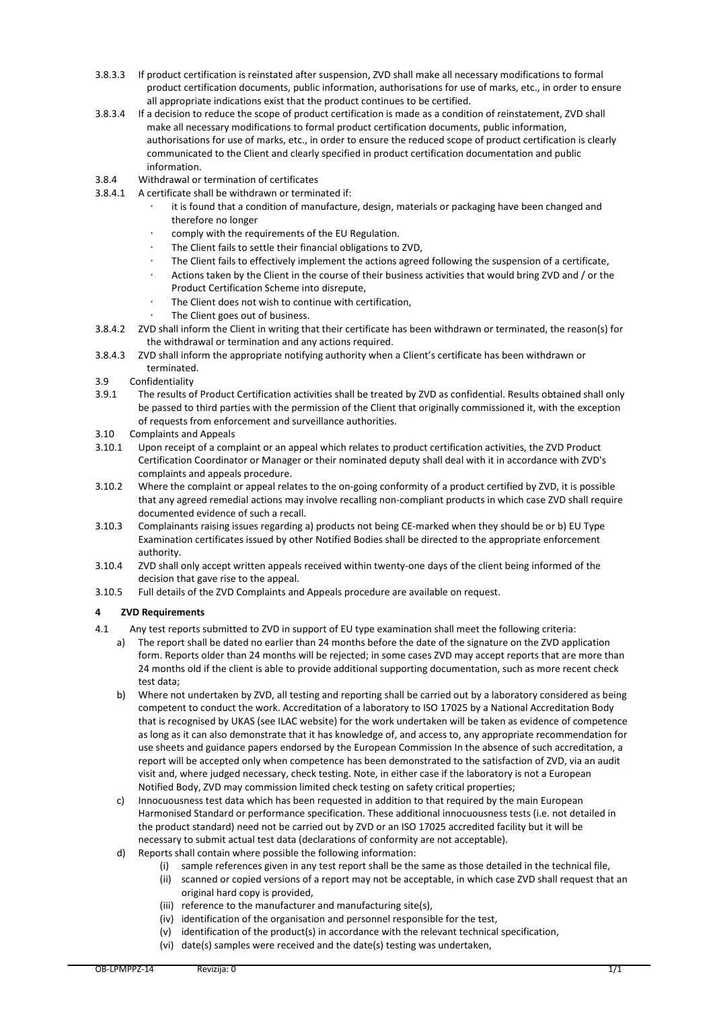- 3.8.3.3 If product certification is reinstated after suspension, ZVD shall make all necessary modifications to formal product certification documents, public information, authorisations for use of marks, etc., in order to ensure all appropriate indications exist that the product continues to be certified.
- 3.8.3.4 If a decision to reduce the scope of product certification is made as a condition of reinstatement, ZVD shall make all necessary modifications to formal product certification documents, public information, authorisations for use of marks, etc., in order to ensure the reduced scope of product certification is clearly communicated to the Client and clearly specified in product certification documentation and public information.
- 3.8.4 Withdrawal or termination of certificates
- 3.8.4.1 A certificate shall be withdrawn or terminated if:
	- it is found that a condition of manufacture, design, materials or packaging have been changed and therefore no longer
	- comply with the requirements of the EU Regulation.
	- The Client fails to settle their financial obligations to ZVD.
	- The Client fails to effectively implement the actions agreed following the suspension of a certificate,
	- Actions taken by the Client in the course of their business activities that would bring ZVD and / or the Product Certification Scheme into disrepute,
	- The Client does not wish to continue with certification,
	- The Client goes out of business.
- 3.8.4.2 ZVD shall inform the Client in writing that their certificate has been withdrawn or terminated, the reason(s) for the withdrawal or termination and any actions required.
- 3.8.4.3 ZVD shall inform the appropriate notifying authority when a Client's certificate has been withdrawn or terminated.
- 3.9 Confidentiality
- 3.9.1 The results of Product Certification activities shall be treated by ZVD as confidential. Results obtained shall only be passed to third parties with the permission of the Client that originally commissioned it, with the exception of requests from enforcement and surveillance authorities.
- 3.10 Complaints and Appeals
- 3.10.1 Upon receipt of a complaint or an appeal which relates to product certification activities, the ZVD Product Certification Coordinator or Manager or their nominated deputy shall deal with it in accordance with ZVD's complaints and appeals procedure.
- 3.10.2 Where the complaint or appeal relates to the on-going conformity of a product certified by ZVD, it is possible that any agreed remedial actions may involve recalling non-compliant products in which case ZVD shall require documented evidence of such a recall.
- 3.10.3 Complainants raising issues regarding a) products not being CE-marked when they should be or b) EU Type Examination certificates issued by other Notified Bodies shall be directed to the appropriate enforcement authority.
- 3.10.4 ZVD shall only accept written appeals received within twenty-one days of the client being informed of the decision that gave rise to the appeal.
- 3.10.5 Full details of the ZVD Complaints and Appeals procedure are available on request.

# **4 ZVD Requirements**

- 4.1 Any test reports submitted to ZVD in support of EU type examination shall meet the following criteria:
	- a) The report shall be dated no earlier than 24 months before the date of the signature on the ZVD application form. Reports older than 24 months will be rejected; in some cases ZVD may accept reports that are more than 24 months old if the client is able to provide additional supporting documentation, such as more recent check test data;
	- b) Where not undertaken by ZVD, all testing and reporting shall be carried out by a laboratory considered as being competent to conduct the work. Accreditation of a laboratory to ISO 17025 by a National Accreditation Body that is recognised by UKAS (see ILAC website) for the work undertaken will be taken as evidence of competence as long as it can also demonstrate that it has knowledge of, and access to, any appropriate recommendation for use sheets and guidance papers endorsed by the European Commission In the absence of such accreditation, a report will be accepted only when competence has been demonstrated to the satisfaction of ZVD, via an audit visit and, where judged necessary, check testing. Note, in either case if the laboratory is not a European Notified Body, ZVD may commission limited check testing on safety critical properties;
	- c) Innocuousness test data which has been requested in addition to that required by the main European Harmonised Standard or performance specification. These additional innocuousness tests (i.e. not detailed in the product standard) need not be carried out by ZVD or an ISO 17025 accredited facility but it will be necessary to submit actual test data (declarations of conformity are not acceptable).
	- d) Reports shall contain where possible the following information:
		- (i) sample references given in any test report shall be the same as those detailed in the technical file,
		- (ii) scanned or copied versions of a report may not be acceptable, in which case ZVD shall request that an original hard copy is provided,
		- (iii) reference to the manufacturer and manufacturing site(s),
		- (iv) identification of the organisation and personnel responsible for the test,
		- (v) identification of the product(s) in accordance with the relevant technical specification,
		- (vi) date(s) samples were received and the date(s) testing was undertaken,